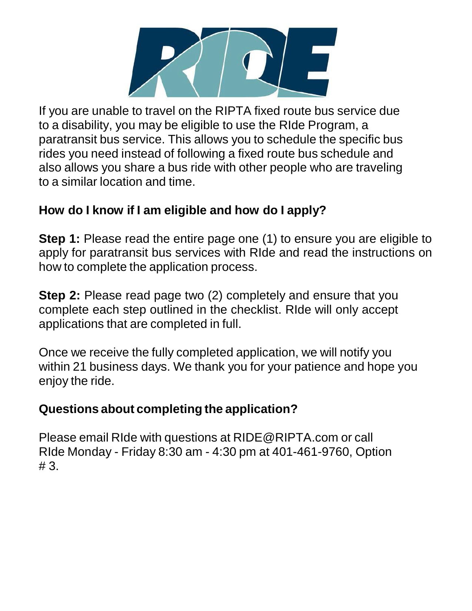

If you are unable to travel on the RIPTA fixed route bus service due to a disability, you may be eligible to use the RIde Program, a paratransit bus service. This allows you to schedule the specific bus rides you need instead of following a fixed route bus schedule and also allows you share a bus ride with other people who are traveling to a similar location and time.

### **How do I know if I am eligible and how do I apply?**

**Step 1:** Please read the entire page one (1) to ensure you are eligible to apply for paratransit bus services with RIde and read the instructions on how to complete the application process.

**Step 2:** Please read page two (2) completely and ensure that you complete each step outlined in the checklist. RIde will only accept applications that are completed in full.

Once we receive the fully completed application, we will notify you within 21 business days. We thank you for your patience and hope you enjoy the ride.

### **Questions about completing the application?**

Please email RIde with questions at [RIDE@RIPTA.com](mailto:RIDE@RIPTA.com) or call RIde Monday - Friday 8:30 am - 4:30 pm at 401-461-9760, Option # 3.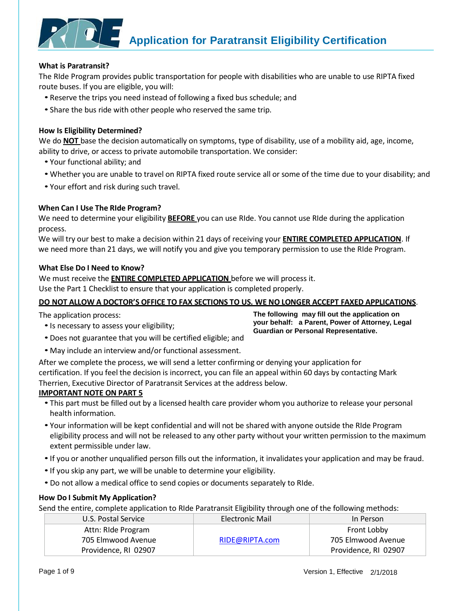

#### **What is Paratransit?**

The RIde Program provides public transportation for people with disabilities who are unable to use RIPTA fixed route buses. If you are eligible, you will:

- Reserve the trips you need instead of following a fixed bus schedule; and
- Share the bus ride with other people who reserved the same trip.

#### **How Is Eligibility Determined?**

We do **NOT** base the decision automatically on symptoms, type of disability, use of a mobility aid, age, income, ability to drive, or access to private automobile transportation. We consider:

- Your functional ability; and
- Whether you are unable to travel on RIPTA fixed route service all or some of the time due to your disability; and
- Your effort and risk during such travel.

#### **When Can I Use The RIde Program?**

We need to determine your eligibility **BEFORE** you can use RIde. You cannot use RIde during the application process.

We will try our best to make a decision within 21 days of receiving your **ENTIRE COMPLETED APPLICATION**. If we need more than 21 days, we will notify you and give you temporary permission to use the RIde Program.

#### **What Else Do I Need to Know?**

We must receive the **ENTIRE COMPLETED APPLICATION** before we will process it.

Use the Part 1 Checklist to ensure that your application is completed properly.

#### DO NOT ALLOW A DOCTOR'S OFFICE TO FAX SECTIONS TO US. WE NO LONGER ACCEPT FAXED APPLICATIONS.

The application process:

•Is necessary to assess your eligibility;

**The following may fill out the application on your behalf: a Parent, Power of Attorney, Legal Guardian or Personal Representative.**

- Does not guarantee that you will be certified eligible; and
- May include an interview and/or functional assessment.

After we complete the process, we will send a letter confirming or denying your application for certification. If you feel the decision is incorrect, you can file an appeal within 60 days by contacting Mark Therrien, Executive Director of Paratransit Services at the address below.

#### **IMPORTANT NOTE ON PART 5**

- This part must be filled out by a licensed health care provider whom you authorize to release your personal health information.
- Your information will be kept confidential and will not be shared with anyone outside the RIde Program eligibility process and will not be released to any other party without your written permission to the maximum extent permissible under law.
- •If you or another unqualified person fills out the information, it invalidates your application and may be fraud.
- •If you skip any part, we will be unable to determine your eligibility.
- Do not allow a medical office to send copies or documents separately to RIde.

#### **How Do I Submit My Application?**

Send the entire, complete application to RIde Paratransit Eligibility through one of the following methods:

| U.S. Postal Service  | <b>Electronic Mail</b> | In Person            |
|----------------------|------------------------|----------------------|
| Attn: Ride Program   |                        | Front Lobby          |
| 705 Elmwood Avenue   | RIDE@RIPTA.com         | 705 Elmwood Avenue   |
| Providence, RI 02907 |                        | Providence, RI 02907 |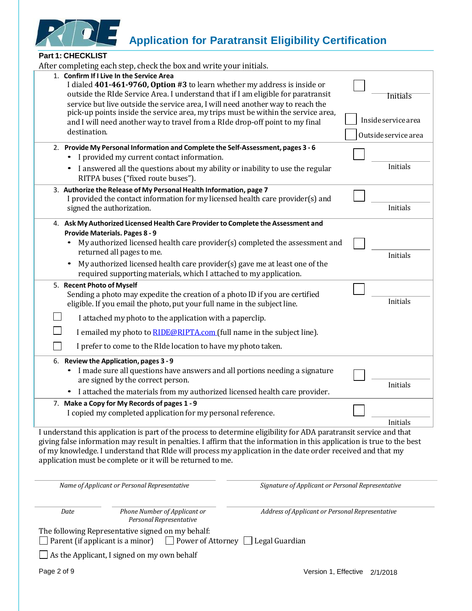

#### **Part 1: CHECKLIST**

| After completing each step, check the box and write your initials.                                                                                                                                                                                                                                                                                                                                                        |                      |
|---------------------------------------------------------------------------------------------------------------------------------------------------------------------------------------------------------------------------------------------------------------------------------------------------------------------------------------------------------------------------------------------------------------------------|----------------------|
| 1. Confirm If I Live In the Service Area<br>I dialed 401-461-9760, Option #3 to learn whether my address is inside or<br>outside the RIde Service Area. I understand that if I am eligible for paratransit<br>service but live outside the service area, I will need another way to reach the                                                                                                                             | <b>Initials</b>      |
| pick-up points inside the service area, my trips must be within the service area,<br>and I will need another way to travel from a RIde drop-off point to my final                                                                                                                                                                                                                                                         | Inside service area  |
| destination.                                                                                                                                                                                                                                                                                                                                                                                                              | Outside service area |
| 2. Provide My Personal Information and Complete the Self-Assessment, pages 3 - 6<br>I provided my current contact information.                                                                                                                                                                                                                                                                                            |                      |
| I answered all the questions about my ability or inability to use the regular<br>RITPA buses ("fixed route buses").                                                                                                                                                                                                                                                                                                       | Initials             |
| 3. Authorize the Release of My Personal Health Information, page 7<br>I provided the contact information for my licensed health care provider(s) and<br>signed the authorization.                                                                                                                                                                                                                                         | Initials             |
| 4. Ask My Authorized Licensed Health Care Provider to Complete the Assessment and                                                                                                                                                                                                                                                                                                                                         |                      |
| <b>Provide Materials. Pages 8 - 9</b><br>My authorized licensed health care provider(s) completed the assessment and<br>$\bullet$<br>returned all pages to me.                                                                                                                                                                                                                                                            | Initials             |
| My authorized licensed health care provider(s) gave me at least one of the<br>$\bullet$<br>required supporting materials, which I attached to my application.                                                                                                                                                                                                                                                             |                      |
| 5. Recent Photo of Myself                                                                                                                                                                                                                                                                                                                                                                                                 |                      |
| Sending a photo may expedite the creation of a photo ID if you are certified<br>eligible. If you email the photo, put your full name in the subject line.                                                                                                                                                                                                                                                                 | Initials             |
| I attached my photo to the application with a paperclip.                                                                                                                                                                                                                                                                                                                                                                  |                      |
| I emailed my photo to <b>RIDE@RIPTA.com</b> (full name in the subject line).                                                                                                                                                                                                                                                                                                                                              |                      |
| I prefer to come to the RIde location to have my photo taken.                                                                                                                                                                                                                                                                                                                                                             |                      |
| 6. Review the Application, pages 3 - 9<br>I made sure all questions have answers and all portions needing a signature<br>are signed by the correct person.<br>I attached the materials from my authorized licensed health care provider.                                                                                                                                                                                  | Initials             |
| 7. Make a Copy for My Records of pages 1 - 9                                                                                                                                                                                                                                                                                                                                                                              |                      |
| I copied my completed application for my personal reference.                                                                                                                                                                                                                                                                                                                                                              |                      |
|                                                                                                                                                                                                                                                                                                                                                                                                                           | Initials             |
| I understand this application is part of the process to determine eligibility for ADA paratransit service and that<br>giving false information may result in penalties. I affirm that the information in this application is true to the best<br>of my knowledge. I understand that RIde will process my application in the date order received and that my<br>application must be complete or it will be returned to me. |                      |
| Name of Applicant or Personal Representative<br>Signature of Applicant or Personal Representative                                                                                                                                                                                                                                                                                                                         |                      |
| Phone Number of Applicant or<br>Date<br>Address of Applicant or Personal Representative<br>Personal Representative                                                                                                                                                                                                                                                                                                        |                      |
| The following Representative signed on my behalf:<br>□ Power of Attorney □ Legal Guardian<br>Parent (if applicant is a minor)                                                                                                                                                                                                                                                                                             |                      |
| As the Applicant, I signed on my own behalf                                                                                                                                                                                                                                                                                                                                                                               |                      |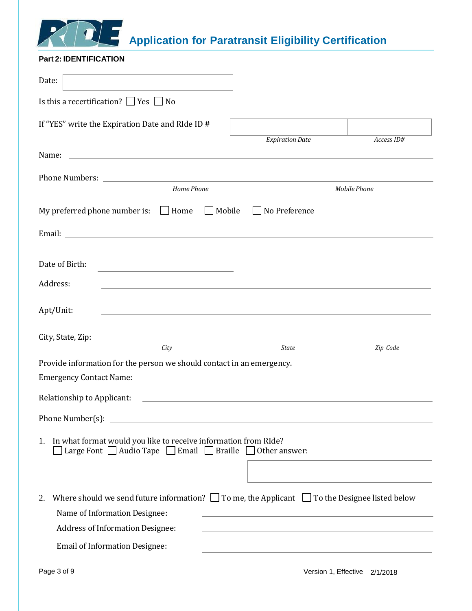

#### <span id="page-3-0"></span>**Part 2: IDENTIFICATION**

| Date:                                                                                                                                                  |                                                                                                                       |              |
|--------------------------------------------------------------------------------------------------------------------------------------------------------|-----------------------------------------------------------------------------------------------------------------------|--------------|
| Is this a recertification? $\Box$ Yes $\Box$ No                                                                                                        |                                                                                                                       |              |
| If "YES" write the Expiration Date and RIde ID #                                                                                                       |                                                                                                                       |              |
|                                                                                                                                                        | <b>Expiration Date</b>                                                                                                | Access ID#   |
| Name:<br><u> 1989 - Johann Harry Harry Harry Harry Harry Harry Harry Harry Harry Harry Harry Harry Harry Harry Harry Harry</u>                         |                                                                                                                       |              |
| Home Phone                                                                                                                                             |                                                                                                                       | Mobile Phone |
| My preferred phone number is:<br>$\Box$ Home<br>$\Box$ Mobile                                                                                          | No Preference                                                                                                         |              |
|                                                                                                                                                        |                                                                                                                       |              |
|                                                                                                                                                        |                                                                                                                       |              |
| Date of Birth:                                                                                                                                         |                                                                                                                       |              |
| Address:<br>and the control of the control of the control of the control of the control of the control of the control of the                           |                                                                                                                       |              |
| Apt/Unit:                                                                                                                                              |                                                                                                                       |              |
|                                                                                                                                                        |                                                                                                                       |              |
| City, State, Zip:<br>the control of the control of the control of the control of the control of<br>City                                                | <b>State</b>                                                                                                          | Zip Code     |
| Provide information for the person we should contact in an emergency.                                                                                  |                                                                                                                       |              |
| <b>Emergency Contact Name:</b>                                                                                                                         | <u> 1989 - Johann Harry Harry Harry Harry Harry Harry Harry Harry Harry Harry Harry Harry Harry Harry Harry Harry</u> |              |
| Relationship to Applicant:                                                                                                                             | the control of the control of the control of the control of the control of the control of                             |              |
| Phone Number(s):                                                                                                                                       |                                                                                                                       |              |
| In what format would you like to receive information from RIde?<br>1.<br>Large Font $\Box$ Audio Tape $\Box$ Email $\Box$ Braille $\Box$ Other answer: |                                                                                                                       |              |
| Where should we send future information? $\square$ To me, the Applicant $\square$ To the Designee listed below<br>2.                                   |                                                                                                                       |              |
| Name of Information Designee:                                                                                                                          |                                                                                                                       |              |
| <b>Address of Information Designee:</b>                                                                                                                |                                                                                                                       |              |
| <b>Email of Information Designee:</b>                                                                                                                  |                                                                                                                       |              |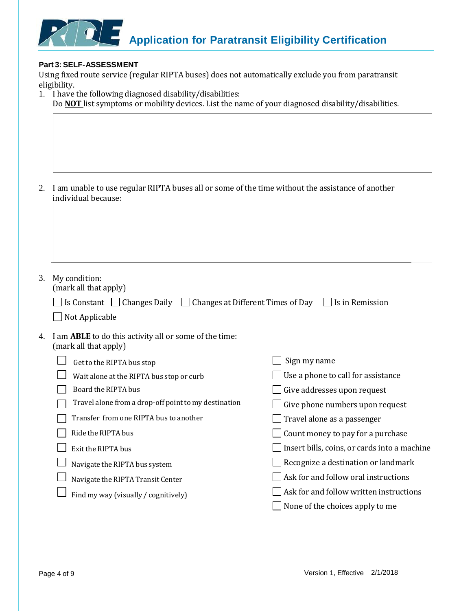

#### **Part 3:SELF-ASSESSMENT**

Using fixed route service (regular RIPTA buses) does not automatically exclude you from paratransit eligibility.

|    | 1. I have the following diagnosed disability/disabilities:<br>Do <b>NOT</b> list symptoms or mobility devices. List the name of your diagnosed disability/disabilities. |                                              |
|----|-------------------------------------------------------------------------------------------------------------------------------------------------------------------------|----------------------------------------------|
|    |                                                                                                                                                                         |                                              |
|    |                                                                                                                                                                         |                                              |
| 2. | I am unable to use regular RIPTA buses all or some of the time without the assistance of another<br>individual because:                                                 |                                              |
|    |                                                                                                                                                                         |                                              |
|    |                                                                                                                                                                         |                                              |
|    |                                                                                                                                                                         |                                              |
|    |                                                                                                                                                                         |                                              |
| 3. | My condition:<br>(mark all that apply)                                                                                                                                  |                                              |
|    | Is Constant $\Box$ Changes Daily $\Box$ Changes at Different Times of Day                                                                                               | $\vert$ Is in Remission                      |
|    | Not Applicable                                                                                                                                                          |                                              |
| 4. | I am <b>ABLE</b> to do this activity all or some of the time:<br>(mark all that apply)                                                                                  |                                              |
|    | Get to the RIPTA bus stop                                                                                                                                               | Sign my name                                 |
|    | Wait alone at the RIPTA bus stop or curb                                                                                                                                | Use a phone to call for assistance           |
|    | Board the RIPTA bus                                                                                                                                                     | Give addresses upon request                  |
|    | Travel alone from a drop-off point to my destination                                                                                                                    | Give phone numbers upon request              |
|    | Transfer from one RIPTA bus to another                                                                                                                                  | Travel alone as a passenger                  |
|    | Ride the RIPTA bus                                                                                                                                                      | Count money to pay for a purchase            |
|    | Exit the RIPTA bus                                                                                                                                                      | Insert bills, coins, or cards into a machine |
|    | Navigate the RIPTA bus system                                                                                                                                           | Recognize a destination or landmark          |
|    | Navigate the RIPTA Transit Center                                                                                                                                       | Ask for and follow oral instructions         |
|    | Find my way (visually / cognitively)                                                                                                                                    | Ask for and follow written instructions      |
|    |                                                                                                                                                                         | None of the choices apply to me              |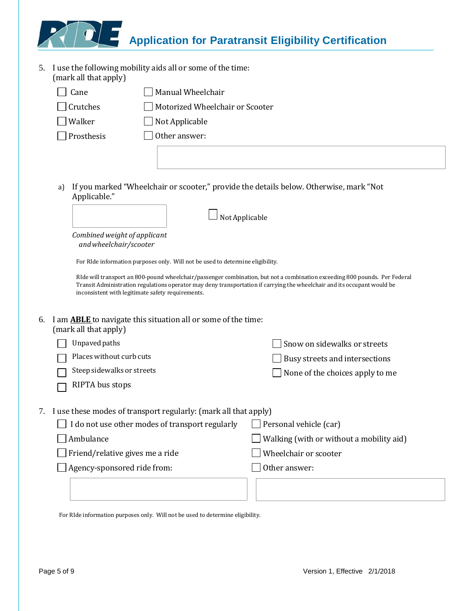5. I use the following mobility aids all or some of the time: (mark all that apply)

| Cane            | Manual Wheelchair               |
|-----------------|---------------------------------|
| $\Box$ Crutches | Motorized Wheelchair or Scooter |
| Walker          | $\Box$ Not Applicable           |
| Prosthesis      | Other answer:                   |
|                 |                                 |

a) If you marked "Wheelchair or scooter," provide the details below. Otherwise, mark "Not Applicable."

|    |                                                                                                                                                                               | Not Applicable                                                                                                             |
|----|-------------------------------------------------------------------------------------------------------------------------------------------------------------------------------|----------------------------------------------------------------------------------------------------------------------------|
|    | Combined weight of applicant<br>and wheelchair/scooter                                                                                                                        |                                                                                                                            |
|    | For RIde information purposes only. Will not be used to determine eligibility.                                                                                                |                                                                                                                            |
|    | Transit Administration regulations operator may deny transportation if carrying the wheelchair and its occupant would be<br>inconsistent with legitimate safety requirements. | RIde will transport an 800-pound wheelchair/passenger combination, but not a combination exceeding 800 pounds. Per Federal |
| 6. | I am <b>ABLE</b> to navigate this situation all or some of the time:<br>(mark all that apply)                                                                                 |                                                                                                                            |
|    | Unpaved paths                                                                                                                                                                 | Snow on sidewalks or streets                                                                                               |
|    | Places without curb cuts                                                                                                                                                      | Busy streets and intersections                                                                                             |
|    | Steep sidewalks or streets                                                                                                                                                    | None of the choices apply to me                                                                                            |
|    | RIPTA bus stops                                                                                                                                                               |                                                                                                                            |
| 7. | I use these modes of transport regularly: (mark all that apply)                                                                                                               |                                                                                                                            |
|    | I do not use other modes of transport regularly                                                                                                                               | Personal vehicle (car)                                                                                                     |
|    | Ambulance                                                                                                                                                                     | Walking (with or without a mobility aid)                                                                                   |
|    | Friend/relative gives me a ride                                                                                                                                               | Wheelchair or scooter                                                                                                      |
|    | Agency-sponsored ride from:                                                                                                                                                   | Other answer:                                                                                                              |

For RIde information purposes only. Will not be used to determine eligibility.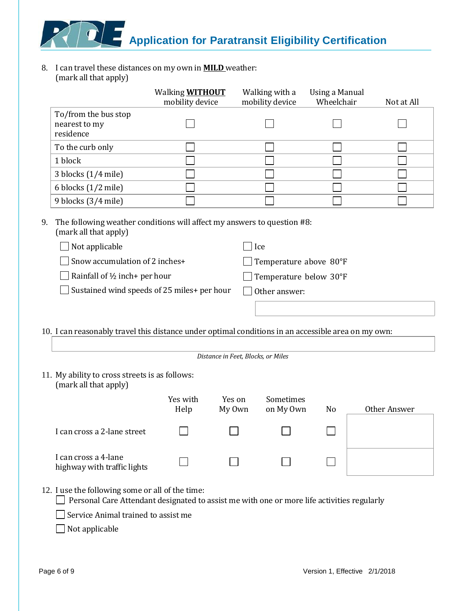8. I can travel these distances on my own in **MILD** weather: (mark all that apply)

| (mark an macappiy)                                                                                                                             |                                           |                                    |                                   |                                     |              |
|------------------------------------------------------------------------------------------------------------------------------------------------|-------------------------------------------|------------------------------------|-----------------------------------|-------------------------------------|--------------|
|                                                                                                                                                | Walking <b>WITHOUT</b><br>mobility device |                                    | Walking with a<br>mobility device | <b>Using a Manual</b><br>Wheelchair | Not at All   |
| To/from the bus stop                                                                                                                           |                                           |                                    |                                   |                                     |              |
| nearest to my                                                                                                                                  |                                           |                                    |                                   |                                     |              |
| residence                                                                                                                                      |                                           |                                    |                                   |                                     |              |
| To the curb only                                                                                                                               |                                           |                                    |                                   |                                     |              |
| 1 block                                                                                                                                        |                                           |                                    |                                   |                                     |              |
| 3 blocks (1/4 mile)                                                                                                                            |                                           |                                    |                                   |                                     |              |
| 6 blocks (1/2 mile)                                                                                                                            |                                           |                                    |                                   |                                     |              |
| 9 blocks (3/4 mile)                                                                                                                            |                                           |                                    |                                   |                                     |              |
| The following weather conditions will affect my answers to question #8:<br>(mark all that apply)<br>Not applicable                             |                                           |                                    | Ice                               |                                     |              |
|                                                                                                                                                |                                           |                                    |                                   |                                     |              |
| Snow accumulation of 2 inches+                                                                                                                 |                                           |                                    | Temperature above 80°F            |                                     |              |
| Rainfall of 1/2 inch+ per hour                                                                                                                 |                                           |                                    | Temperature below 30°F            |                                     |              |
| Sustained wind speeds of 25 miles+ per hour                                                                                                    |                                           |                                    | Other answer:                     |                                     |              |
|                                                                                                                                                |                                           |                                    |                                   |                                     |              |
|                                                                                                                                                |                                           |                                    |                                   |                                     |              |
| 10. I can reasonably travel this distance under optimal conditions in an accessible area on my own:                                            |                                           |                                    |                                   |                                     |              |
|                                                                                                                                                |                                           |                                    |                                   |                                     |              |
|                                                                                                                                                |                                           | Distance in Feet, Blocks, or Miles |                                   |                                     |              |
| 11. My ability to cross streets is as follows:<br>(mark all that apply)                                                                        |                                           |                                    |                                   |                                     |              |
|                                                                                                                                                | Yes with<br>Help                          | Yes on<br>My Own                   | Sometimes<br>on My Own            | N <sub>0</sub>                      | Other Answer |
| I can cross a 2-lane street                                                                                                                    |                                           |                                    |                                   |                                     |              |
| I can cross a 4-lane<br>highway with traffic lights                                                                                            |                                           |                                    |                                   |                                     |              |
| 12. I use the following some or all of the time:<br>Personal Care Attendant designated to assist me with one or more life activities regularly |                                           |                                    |                                   |                                     |              |
| Service Animal trained to assist me                                                                                                            |                                           |                                    |                                   |                                     |              |

<span id="page-6-0"></span> $\hfill\Box$  Not applicable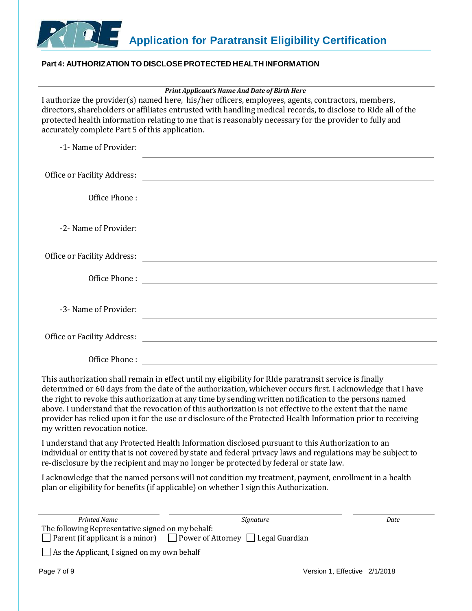

#### <span id="page-7-0"></span>**Part 4: AUTHORIZATION TO DISCLOSE PROTECTED HEALTH INFORMATION**

| <b>Print Applicant's Name And Date of Birth Here</b> |  |
|------------------------------------------------------|--|
|                                                      |  |

I authorize the provider(s) named here, his/her officers, employees, agents, contractors, members, directors, shareholders or affiliates entrusted with handling medical records, to disclose to RIde all of the protected health information relating to me that is reasonably necessary for the provider to fully and accurately complete Part 5 of this application.

| -1- Name of Provider: | the control of the control of the control of the control of the control of the control of the control of the control of the control of the control of the control of the control of the control of the control of the control |
|-----------------------|-------------------------------------------------------------------------------------------------------------------------------------------------------------------------------------------------------------------------------|
|                       |                                                                                                                                                                                                                               |
| Office Phone:         | <u> Alexandria de la contrada de la contrada de la contrada de la contrada de la contrada de la contrada de la c</u>                                                                                                          |
| -2- Name of Provider: | <u> 1989 - Andrea Station Barbara, actor a component de la componentación de la componentación de la componentaci</u>                                                                                                         |
|                       | Office or Facility Address: North American Section 1986 and 2008 and 2008 and 2008 and 2008 and 2008 and 2008 and 2008 and 2008 and 2008 and 2008 and 2008 and 2008 and 2008 and 2008 and 2008 and 2008 and 2008 and 2008 and |
|                       |                                                                                                                                                                                                                               |
| -3- Name of Provider: |                                                                                                                                                                                                                               |
|                       |                                                                                                                                                                                                                               |
| Office Phone:         |                                                                                                                                                                                                                               |

This authorization shall remain in effect until my eligibility for RIde paratransit service is finally determined or 60 days from the date of the authorization, whichever occurs first. I acknowledge that I have the right to revoke this authorization at any time by sending written notification to the persons named above. I understand that the revocation of this authorization is not effective to the extent that the name provider has relied upon it for the use or disclosure of the Protected Health Information prior to receiving my written revocation notice.

I understand that any Protected Health Information disclosed pursuant to this Authorization to an individual or entity that is not covered by state and federal privacy laws and regulations may be subject to re-disclosure by the recipient and may no longer be protected by federal or state law.

I acknowledge that the named persons will not condition my treatment, payment, enrollment in a health plan or eligibility for benefits (if applicable) on whether I sign this Authorization.

| Printed Name                                       | Signature                                                                              | Date                          |
|----------------------------------------------------|----------------------------------------------------------------------------------------|-------------------------------|
| The following Representative signed on my behalf:  |                                                                                        |                               |
|                                                    | $\Box$ Parent (if applicant is a minor) $\Box$ Power of Attorney $\Box$ Legal Guardian |                               |
| $\Box$ As the Applicant, I signed on my own behalf |                                                                                        |                               |
| Page 7 of 9                                        |                                                                                        | Version 1, Effective 2/1/2018 |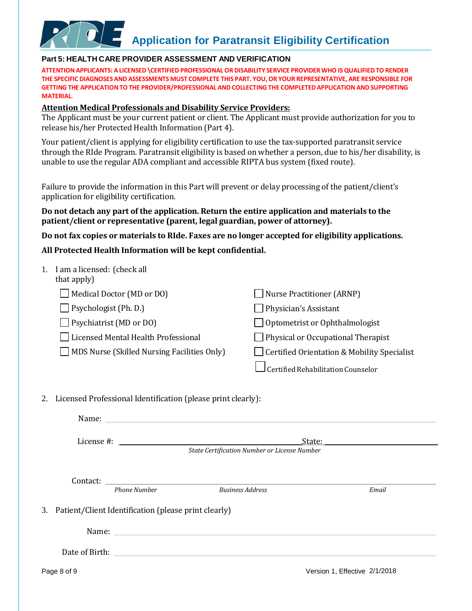#### <span id="page-8-0"></span>**Part 5: HEALTH CARE PROVIDER ASSESSMENT AND VERIFICATION**

**ATTENTION APPLICANTS: A LICENSED \CERTIFIED PROFESSIONAL OR DISABILITY SERVICE PROVIDER WHO ISQUALIFIEDTO RENDER THE SPECIFIC DIAGNOSES AND ASSESSMENTS MUST COMPLETE THIS PART. YOU, OR YOUR REPRESENTATIVE, ARE RESPONSIBLE FOR GETTING THE APPLICATIONTO THE PROVIDER/PROFESSIONAL AND COLLECTING THE COMPLETEDAPPLICATION AND SUPPORTING MATERIAL.**

#### **Attention Medical Professionals and Disability Service Providers:**

The Applicant must be your current patient or client. The Applicant must provide authorization for you to release his/her Protected Health Information (Part 4).

Your patient/client is applying for eligibility certification to use the tax-supported paratransit service through the RIde Program. Paratransit eligibility is based on whether a person, due to his/her disability, is unable to use the regular ADA compliant and accessible RIPTA bus system (fixed route).

Failure to provide the information in this Part will prevent or delay processing of the patient/client's application for eligibility certification.

#### **Do not detach any part of the application. Return the entire application and materials to the patient/client or representative (parent, legal guardian, power of attorney).**

**Do not fax copies or materials to RIde. Faxes are no longer accepted for eligibility applications.** 

#### **All Protected Health Information will be kept confidential.**

| 1. I am a licensed: (check all<br>that apply)                |                                              |
|--------------------------------------------------------------|----------------------------------------------|
| Medical Doctor (MD or DO)                                    | <b>Nurse Practitioner (ARNP)</b>             |
| Psychologist (Ph. D.)                                        | Physician's Assistant                        |
| Psychiatrist (MD or DO)                                      | Optometrist or Ophthalmologist               |
| Licensed Mental Health Professional                          | Physical or Occupational Therapist           |
| MDS Nurse (Skilled Nursing Facilities Only)                  | Certified Orientation & Mobility Specialist  |
|                                                              | Certified Rehabilitation Counselor           |
| Licensed Professional Identification (please print clearly): |                                              |
| Name:                                                        |                                              |
| License #:                                                   | State:                                       |
|                                                              | State Certification Number or License Number |
|                                                              |                                              |
|                                                              |                                              |

Contact:

*Phone Number Business Address Email*

3. Patient/Client Identification (please print clearly)

Name: when the contract of the contract of the contract of the contract of the contract of the contract of the contract of the contract of the contract of the contract of the contract of the contract of the contract of the

Date of Birth: